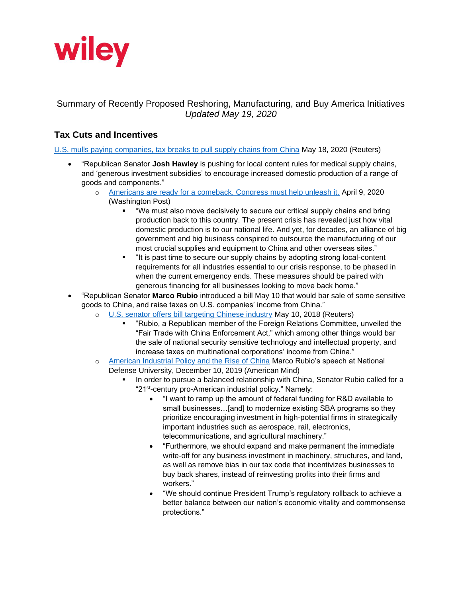

## Summary of Recently Proposed Reshoring, Manufacturing, and Buy America Initiatives *Updated May 19, 2020*

# **Tax Cuts and Incentives**

[U.S. mulls paying companies, tax breaks to pull supply chains from China](https://www.reuters.com/article/us-usa-china-supply-chains-idUSKBN22U0FH) May 18, 2020 (Reuters)

- "Republican Senator **Josh Hawley** is pushing for local content rules for medical supply chains, and 'generous investment subsidies' to encourage increased domestic production of a range of goods and components."
	- o [Americans are ready for a comeback. Congress must help unleash it.](https://www.hawley.senate.gov/op-ed-americans-are-ready-comeback-congress-must-help-unleash-it) April 9, 2020 (Washington Post)
		- "We must also move decisively to secure our critical supply chains and bring production back to this country. The present crisis has revealed just how vital domestic production is to our national life. And yet, for decades, an alliance of big government and big business conspired to outsource the manufacturing of our most crucial supplies and equipment to China and other overseas sites."
		- "It is past time to secure our supply chains by adopting strong local-content requirements for all industries essential to our crisis response, to be phased in when the current emergency ends. These measures should be paired with generous financing for all businesses looking to move back home."
- "Republican Senator **Marco Rubio** introduced a bill May 10 that would bar sale of some sensitive goods to China, and raise taxes on U.S. companies' income from China."
	- o [U.S. senator offers bill targeting Chinese industry](https://www.reuters.com/article/us-usa-trade-congress-china/u-s-senator-offers-bill-targeting-chinese-industry-idUSKBN1IB30Y) May 10, 2018 (Reuters)
		- "Rubio, a Republican member of the Foreign Relations Committee, unveiled the "Fair Trade with China Enforcement Act," which among other things would bar the sale of national security sensitive technology and intellectual property, and increase taxes on multinational corporations' income from China."
	- o [American Industrial Policy and the Rise of China](https://americanmind.org/essays/american-industrial-policy-and-the-rise-of-china/) Marco Rubio's speech at National Defense University, December 10, 2019 (American Mind)
		- In order to pursue a balanced relationship with China, Senator Rubio called for a "21st-century pro-American industrial policy." Namely:
			- "I want to ramp up the amount of federal funding for R&D available to small businesses…[and] to modernize existing SBA programs so they prioritize encouraging investment in high-potential firms in strategically important industries such as aerospace, rail, electronics, telecommunications, and agricultural machinery."
			- "Furthermore, we should expand and make permanent the immediate write-off for any business investment in machinery, structures, and land, as well as remove bias in our tax code that incentivizes businesses to buy back shares, instead of reinvesting profits into their firms and workers."
			- "We should continue President Trump's regulatory rollback to achieve a better balance between our nation's economic vitality and commonsense protections."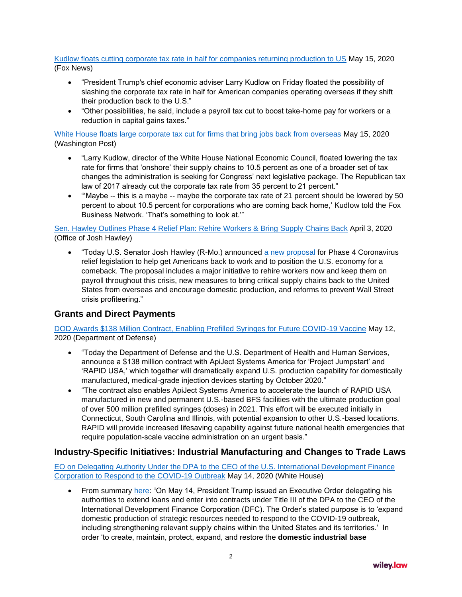### [Kudlow floats cutting corporate tax rate in half for companies returning production to US](https://www.foxbusiness.com/money/kudlow-floats-cutting-corporate-tax-rate-in-half-for-companies-returning-production-to-us) May 15, 2020 (Fox News)

- "President Trump's chief economic adviser Larry Kudlow on Friday floated the possibility of slashing the corporate tax rate in half for American companies operating overseas if they shift their production back to the U.S."
- "Other possibilities, he said, include a payroll tax cut to boost take-home pay for workers or a reduction in capital gains taxes."

[White House floats large corporate tax cut for firms that bring jobs back from overseas](https://doggett.house.gov/media-center/in-the-news/washington-post-white-house-floats-large-corporate-tax-cut-firms-bring-jobs) May 15, 2020 (Washington Post)

- "Larry Kudlow, director of the White House National Economic Council, floated lowering the tax rate for firms that 'onshore' their supply chains to 10.5 percent as one of a broader set of tax changes the administration is seeking for Congress' next legislative package. The Republican tax law of 2017 already cut the corporate tax rate from 35 percent to 21 percent."
- "Maybe -- this is a maybe -- maybe the corporate tax rate of 21 percent should be lowered by 50 percent to about 10.5 percent for corporations who are coming back home,' Kudlow told the Fox Business Network. 'That's something to look at.'"

[Sen. Hawley Outlines Phase 4 Relief Plan: Rehire Workers & Bring](https://www.hawley.senate.gov/sen-hawley-outlines-phase-4-relief-plan-rehire-workers-bring-supply-chains-back) Supply Chains Back April 3, 2020 (Office of Josh Hawley)

• "Today U.S. Senator Josh Hawley (R-Mo.) announced [a new proposal](https://www.hawley.senate.gov/sites/default/files/2020-04/Getting-America-Back-to-Work_0.pdf) for Phase 4 Coronavirus relief legislation to help get Americans back to work and to position the U.S. economy for a comeback. The proposal includes a major initiative to rehire workers now and keep them on payroll throughout this crisis, new measures to bring critical supply chains back to the United States from overseas and encourage domestic production, and reforms to prevent Wall Street crisis profiteering."

## **Grants and Direct Payments**

[DOD Awards \\$138 Million Contract, Enabling Prefilled Syringes for Future COVID-19 Vaccine](https://www.defense.gov/Newsroom/Releases/Release/Article/2184808/dod-awards-138-million-contract-enabling-prefilled-syringes-for-future-covid-19/) May 12, 2020 (Department of Defense)

- "Today the Department of Defense and the U.S. Department of Health and Human Services, announce a \$138 million contract with ApiJect Systems America for 'Project Jumpstart' and 'RAPID USA,' which together will dramatically expand U.S. production capability for domestically manufactured, medical-grade injection devices starting by October 2020."
- "The contract also enables ApiJect Systems America to accelerate the launch of RAPID USA manufactured in new and permanent U.S.-based BFS facilities with the ultimate production goal of over 500 million prefilled syringes (doses) in 2021. This effort will be executed initially in Connecticut, South Carolina and Illinois, with potential expansion to other U.S.-based locations. RAPID will provide increased lifesaving capability against future national health emergencies that require population-scale vaccine administration on an urgent basis."

## **Industry-Specific Initiatives: Industrial Manufacturing and Changes to Trade Laws**

[EO on Delegating Authority Under the DPA to the CEO of the U.S. International Development Finance](https://www.whitehouse.gov/presidential-actions/eo-delegating-authority-dpa-ceo-u-s-international-development-finance-corporation-respond-covid-19-outbreak/)  [Corporation to Respond to the COVID-19 Outbreak](https://www.whitehouse.gov/presidential-actions/eo-delegating-authority-dpa-ceo-u-s-international-development-finance-corporation-respond-covid-19-outbreak/) May 14, 2020 (White House)

• From summary [here:](https://www.wilmerhale.com/en/insights/client-alerts/20200518-covid-19-administration-undertakes-several-defense-production-act-initiatives) "On May 14, President Trump issued an Executive Order delegating his authorities to extend loans and enter into contracts under Title III of the DPA to the CEO of the International Development Finance Corporation (DFC). The Order's stated purpose is to 'expand domestic production of strategic resources needed to respond to the COVID-19 outbreak, including strengthening relevant supply chains within the United States and its territories.' In order 'to create, maintain, protect, expand, and restore the **domestic industrial base**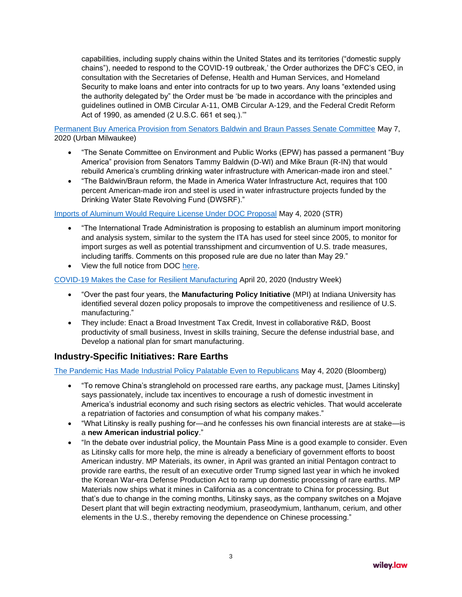capabilities, including supply chains within the United States and its territories ("domestic supply chains"), needed to respond to the COVID-19 outbreak,' the Order authorizes the DFC's CEO, in consultation with the Secretaries of Defense, Health and Human Services, and Homeland Security to make loans and enter into contracts for up to two years. Any loans "extended using the authority delegated by" the Order must be 'be made in accordance with the principles and guidelines outlined in OMB Circular A-11, OMB Circular A-129, and the Federal Credit Reform Act of 1990, as amended (2 U.S.C. 661 et seq.).'"

[Permanent Buy America Provision from Senators Baldwin and Braun Passes Senate Committee](https://urbanmilwaukee.com/pressrelease/permanent-buy-america-provision-from-senators-baldwin-and-braun-passes-senate-committee/) May 7, 2020 (Urban Milwaukee)

- "The Senate Committee on Environment and Public Works (EPW) has passed a permanent "Buy America" provision from Senators Tammy Baldwin (D-WI) and Mike Braun (R-IN) that would rebuild America's crumbling drinking water infrastructure with American-made iron and steel."
- "The Baldwin/Braun reform, the Made in America Water Infrastructure Act, requires that 100 percent American-made iron and steel is used in water infrastructure projects funded by the Drinking Water State Revolving Fund (DWSRF)."

### [Imports of Aluminum Would Require License Under DOC Proposal](https://www.strtrade.com/news-publications-aluminum-import-license-monitoring-DOC-050420.html) May 4, 2020 (STR)

- "The International Trade Administration is proposing to establish an aluminum import monitoring and analysis system, similar to the system the ITA has used for steel since 2005, to monitor for import surges as well as potential transshipment and circumvention of U.S. trade measures, including tariffs. Comments on this proposed rule are due no later than May 29."
- View the full notice from DOC [here.](https://www.strtrade.com/media/publication/7997_doc%20aluminum%20import.pdf)

#### [COVID-19 Makes the Case for Resilient Manufacturing](https://www.industryweek.com/the-economy/public-policy/article/21129255/covid19-makes-the-case-for-resilient-manufacturing) April 20, 2020 (Industry Week)

- "Over the past four years, the **Manufacturing Policy Initiative** (MPI) at Indiana University has identified several dozen policy proposals to improve the competitiveness and resilience of U.S. manufacturing."
- They include: Enact a Broad Investment Tax Credit, Invest in collaborative R&D, Boost productivity of small business, Invest in skills training, Secure the defense industrial base, and Develop a national plan for smart manufacturing.

### **Industry-Specific Initiatives: Rare Earths**

### [The Pandemic Has Made Industrial Policy Palatable Even to Republicans](https://www.bloomberg.com/news/articles/2020-05-04/coronavirus-has-made-industrial-policy-palatable-to-republicans) May 4, 2020 (Bloomberg)

- "To remove China's stranglehold on processed rare earths, any package must, [James Litinsky] says passionately, include tax incentives to encourage a rush of domestic investment in America's industrial economy and such rising sectors as electric vehicles. That would accelerate a repatriation of factories and consumption of what his company makes."
- "What Litinsky is really pushing for—and he confesses his own financial interests are at stake—is a **new American industrial policy**."
- "In the debate over industrial policy, the Mountain Pass Mine is a good example to consider. Even as Litinsky calls for more help, the mine is already a beneficiary of government efforts to boost American industry. MP Materials, its owner, in April was granted an initial Pentagon contract to provide rare earths, the result of an executive order Trump signed last year in which he invoked the Korean War-era Defense Production Act to ramp up domestic processing of rare earths. MP Materials now ships what it mines in California as a concentrate to China for processing. But that's due to change in the coming months, Litinsky says, as the company switches on a Mojave Desert plant that will begin extracting neodymium, praseodymium, lanthanum, cerium, and other elements in the U.S., thereby removing the dependence on Chinese processing."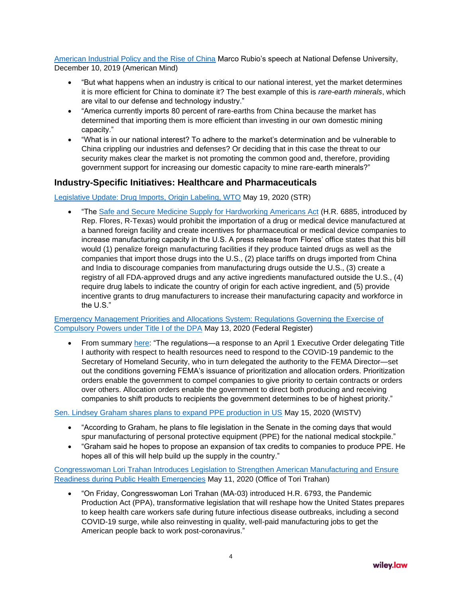[American Industrial Policy and the Rise of China](https://americanmind.org/essays/american-industrial-policy-and-the-rise-of-china/) Marco Rubio's speech at National Defense University, December 10, 2019 (American Mind)

- "But what happens when an industry is critical to our national interest, yet the market determines it is more efficient for China to dominate it? The best example of this is *rare-earth minerals*, which are vital to our defense and technology industry."
- "America currently imports 80 percent of rare-earths from China because the market has determined that importing them is more efficient than investing in our own domestic mining capacity."
- "What is in our national interest? To adhere to the market's determination and be vulnerable to China crippling our industries and defenses? Or deciding that in this case the threat to our security makes clear the market is not promoting the common good and, therefore, providing government support for increasing our domestic capacity to mine rare-earth minerals?"

## **Industry-Specific Initiatives: Healthcare and Pharmaceuticals**

Legislative [Update: Drug Imports, Origin Labeling, WTO](https://www.strtrade.com/news-publications-drug-imports-origin-labeling-WTO-withdraw-legislation-051920.html) May 19, 2020 (STR)

• "The [Safe and Secure Medicine Supply for Hardworking Americans Act](https://flores.house.gov/news/documentsingle.aspx?DocumentID=401313) (H.R. 6885, introduced by Rep. Flores, R-Texas) would prohibit the importation of a drug or medical device manufactured at a banned foreign facility and create incentives for pharmaceutical or medical device companies to increase manufacturing capacity in the U.S. A press release from Flores' office states that this bill would (1) penalize foreign manufacturing facilities if they produce tainted drugs as well as the companies that import those drugs into the U.S., (2) place tariffs on drugs imported from China and India to discourage companies from manufacturing drugs outside the U.S., (3) create a registry of all FDA-approved drugs and any active ingredients manufactured outside the U.S., (4) require drug labels to indicate the country of origin for each active ingredient, and (5) provide incentive grants to drug manufacturers to increase their manufacturing capacity and workforce in the U.S."

[Emergency Management Priorities and Allocations System: Regulations Governing the Exercise of](https://www.govinfo.gov/content/pkg/FR-2020-05-13/pdf/2020-10294.pdf)  [Compulsory Powers under Title I of the DPA](https://www.govinfo.gov/content/pkg/FR-2020-05-13/pdf/2020-10294.pdf) May 13, 2020 (Federal Register)

From summary [here:](https://www.wilmerhale.com/en/insights/client-alerts/20200518-covid-19-administration-undertakes-several-defense-production-act-initiatives) "The regulations—a response to an April 1 Executive Order delegating Title I authority with respect to health resources need to respond to the COVID-19 pandemic to the Secretary of Homeland Security, who in turn delegated the authority to the FEMA Director—set out the conditions governing FEMA's issuance of prioritization and allocation orders. Prioritization orders enable the government to compel companies to give priority to certain contracts or orders over others. Allocation orders enable the government to direct both producing and receiving companies to shift products to recipients the government determines to be of highest priority."

[Sen. Lindsey Graham shares plans to expand PPE production in US](https://www.wistv.com/2020/05/15/sen-lindsey-graham-shares-plans-expand-ppe-production-us/) May 15, 2020 (WISTV)

- "According to Graham, he plans to file legislation in the Senate in the coming days that would spur manufacturing of personal protective equipment (PPE) for the national medical stockpile."
- "Graham said he hopes to propose an expansion of tax credits to companies to produce PPE. He hopes all of this will help build up the supply in the country."

[Congresswoman Lori Trahan Introduces Legislation to Strengthen American Manufacturing and Ensure](https://trahan.house.gov/news/documentsingle.aspx?DocumentID=1586)  [Readiness during Public Health Emergencies](https://trahan.house.gov/news/documentsingle.aspx?DocumentID=1586) May 11, 2020 (Office of Tori Trahan)

• "On Friday, Congresswoman Lori Trahan (MA-03) introduced H.R. 6793, the Pandemic Production Act (PPA), transformative legislation that will reshape how the United States prepares to keep health care workers safe during future infectious disease outbreaks, including a second COVID-19 surge, while also reinvesting in quality, well-paid manufacturing jobs to get the American people back to work post-coronavirus."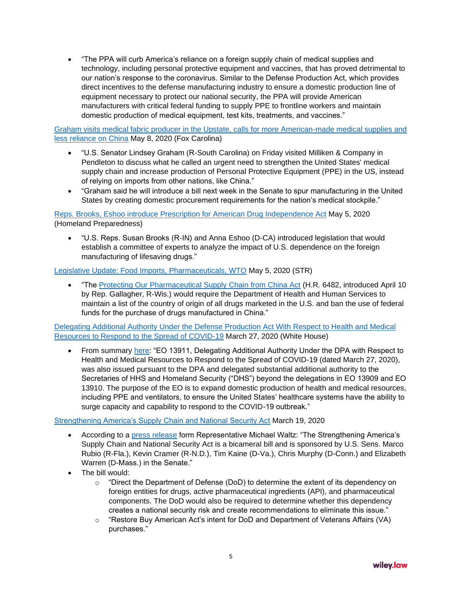• "The PPA will curb America's reliance on a foreign supply chain of medical supplies and technology, including personal protective equipment and vaccines, that has proved detrimental to our nation's response to the coronavirus. Similar to the Defense Production Act, which provides direct incentives to the defense manufacturing industry to ensure a domestic production line of equipment necessary to protect our national security, the PPA will provide American manufacturers with critical federal funding to supply PPE to frontline workers and maintain domestic production of medical equipment, test kits, treatments, and vaccines."

[Graham visits medical fabric producer in the Upstate, calls for more American-made medical supplies and](https://www.foxcarolina.com/news/graham-visits-medical-fabric-producer-in-the-upstate-calls-for-more-american-made-medical-supplies/article_2ced3e68-9149-11ea-9c27-3f8281aa6856.html)  [less reliance on China](https://www.foxcarolina.com/news/graham-visits-medical-fabric-producer-in-the-upstate-calls-for-more-american-made-medical-supplies/article_2ced3e68-9149-11ea-9c27-3f8281aa6856.html) May 8, 2020 (Fox Carolina)

- "U.S. Senator Lindsey Graham (R-South Carolina) on Friday visited Milliken & Company in Pendleton to discuss what he called an urgent need to strengthen the United States' medical supply chain and increase production of Personal Protective Equipment (PPE) in the US, instead of relying on imports from other nations, like China."
- "Graham said he will introduce a bill next week in the Senate to spur manufacturing in the United States by creating domestic procurement requirements for the nation's medical stockpile."

[Reps. Brooks, Eshoo introduce Prescription for American Drug Independence Act](https://homelandprepnews.com/stories/48568-reps-brooks-eshoo-introduce-prescription-for-american-drug-independence-act/) May 5, 2020 (Homeland Preparedness)

• "U.S. Reps. Susan Brooks (R-IN) and Anna Eshoo (D-CA) introduced legislation that would establish a committee of experts to analyze the impact of U.S. dependence on the foreign manufacturing of lifesaving drugs."

[Legislative Update: Food Imports, Pharmaceuticals, WTO](https://www.strtrade.com/news-publications-food-import-pharmaceutical-origin-WTO-agreements-China-050520.html) May 5, 2020 (STR)

• "The [Protecting Our Pharmaceutical Supply Chain from China Act](https://www.congress.gov/bill/116th-congress/senate-bill/3537/text) (H.R. 6482, introduced April 10 by Rep. Gallagher, R-Wis.) would require the Department of Health and Human Services to maintain a list of the country of origin of all drugs marketed in the U.S. and ban the use of federal funds for the purchase of drugs manufactured in China."

[Delegating Additional Authority Under the Defense Production Act With Respect to Health and Medical](https://www.whitehouse.gov/presidential-actions/eo-delegating-additional-authority-dpa-respect-health-medical-resources-respond-spread-covid-19/)  [Resources to Respond to the Spread of COVID-19](https://www.whitehouse.gov/presidential-actions/eo-delegating-additional-authority-dpa-respect-health-medical-resources-respond-spread-covid-19/) March 27, 2020 (White House)

• From summary [here:](https://www.governmentcontractslawblog.com/2020/04/articles/government-contracts-law/presidential-orders-authorities-covid-19/) "EO 13911, Delegating Additional Authority Under the DPA with Respect to Health and Medical Resources to Respond to the Spread of COVID-19 (dated March 27, 2020), was also issued pursuant to the DPA and delegated substantial additional authority to the Secretaries of HHS and Homeland Security ("DHS") beyond the delegations in EO 13909 and EO 13910. The purpose of the EO is to expand domestic production of health and medical resources, including PPE and ventilators, to ensure the United States' healthcare systems have the ability to surge capacity and capability to respond to the COVID-19 outbreak."

### [Strengthening America's Supply Chain and National Security Act](https://www.congress.gov/bill/116th-congress/senate-bill/3538/text) March 19, 2020

- According to a [press release](https://waltz.house.gov/news/documentsingle.aspx?DocumentID=299) form Representative Michael Waltz: "The Strengthening America's Supply Chain and National Security Act is a bicameral bill and is sponsored by U.S. Sens. Marco Rubio (R-Fla.), Kevin Cramer (R-N.D.), Tim Kaine (D-Va.), Chris Murphy (D-Conn.) and Elizabeth Warren (D-Mass.) in the Senate."
- The bill would:
	- $\circ$  "Direct the Department of Defense (DoD) to determine the extent of its dependency on foreign entities for drugs, active pharmaceutical ingredients (API), and pharmaceutical components. The DoD would also be required to determine whether this dependency creates a national security risk and create recommendations to eliminate this issue."
	- o "Restore Buy American Act's intent for DoD and Department of Veterans Affairs (VA) purchases."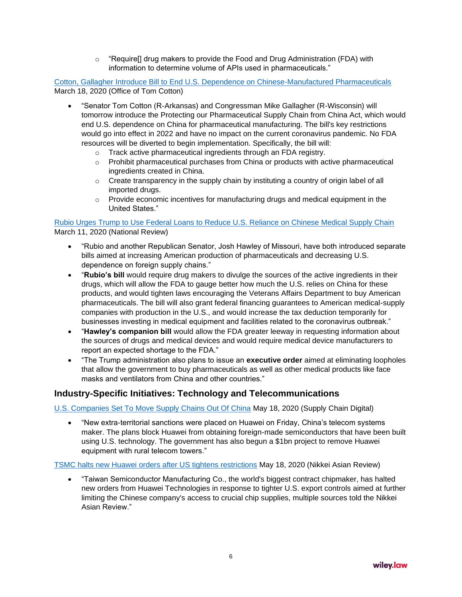$\circ$  "Require[] drug makers to provide the Food and Drug Administration (FDA) with information to determine volume of APIs used in pharmaceuticals."

[Cotton, Gallagher Introduce Bill to End U.S. Dependence on Chinese-Manufactured Pharmaceuticals](https://www.cotton.senate.gov/?p=press_release&id=1342) March 18, 2020 (Office of Tom Cotton)

- "Senator Tom Cotton (R-Arkansas) and Congressman Mike Gallagher (R-Wisconsin) will tomorrow introduce the Protecting our Pharmaceutical Supply Chain from China Act, which would end U.S. dependence on China for pharmaceutical manufacturing. The bill's key restrictions would go into effect in 2022 and have no impact on the current coronavirus pandemic. No FDA resources will be diverted to begin implementation. Specifically, the bill will:
	- o Track active pharmaceutical ingredients through an FDA registry.
	- $\circ$  Prohibit pharmaceutical purchases from China or products with active pharmaceutical ingredients created in China.
	- $\circ$  Create transparency in the supply chain by instituting a country of origin label of all imported drugs.
	- $\circ$  Provide economic incentives for manufacturing drugs and medical equipment in the United States."

[Rubio Urges Trump to Use Federal Loans to Reduce U.S. Reliance on Chinese Medical Supply Chain](https://www.nationalreview.com/news/rubio-urges-trump-to-use-federal-loans-to-reduce-u-s-reliance-on-chinese-medical-supply-chain/) March 11, 2020 (National Review)

- "Rubio and another Republican Senator, Josh Hawley of Missouri, have both introduced separate bills aimed at increasing American production of pharmaceuticals and decreasing U.S. dependence on foreign supply chains."
- "**Rubio's bill** would require drug makers to divulge the sources of the active ingredients in their drugs, which will allow the FDA to gauge better how much the U.S. relies on China for these products, and would tighten laws encouraging the Veterans Affairs Department to buy American pharmaceuticals. The bill will also grant federal financing guarantees to American medical-supply companies with production in the U.S., and would increase the tax deduction temporarily for businesses investing in medical equipment and facilities related to the coronavirus outbreak."
- "**Hawley's companion bill** would allow the FDA greater leeway in requesting information about the sources of drugs and medical devices and would require medical device manufacturers to report an expected shortage to the FDA."
- "The Trump administration also plans to issue an **executive order** aimed at eliminating loopholes that allow the government to buy pharmaceuticals as well as other medical products like face masks and ventilators from China and other countries."

## **Industry-Specific Initiatives: Technology and Telecommunications**

[U.S. Companies Set To Move Supply Chains Out Of China](https://www.supplychaindigital.com/supply-chain-management/us-companies-set-move-supply-chains-out-china) May 18, 2020 (Supply Chain Digital)

• "New extra-territorial sanctions were placed on Huawei on Friday, China's telecom systems maker. The plans block Huawei from obtaining foreign-made semiconductors that have been built using U.S. technology. The government has also begun a \$1bn project to remove Huawei equipment with rural telecom towers."

[TSMC halts new Huawei orders after US tightens restrictions](https://asia.nikkei.com/Spotlight/Huawei-crackdown/TSMC-halts-new-Huawei-orders-after-US-tightens-restrictions) May 18, 2020 (Nikkei Asian Review)

• "Taiwan Semiconductor Manufacturing Co., the world's biggest contract chipmaker, has halted new orders from Huawei Technologies in response to tighter U.S. export controls aimed at further limiting the Chinese company's access to crucial chip supplies, multiple sources told the Nikkei Asian Review."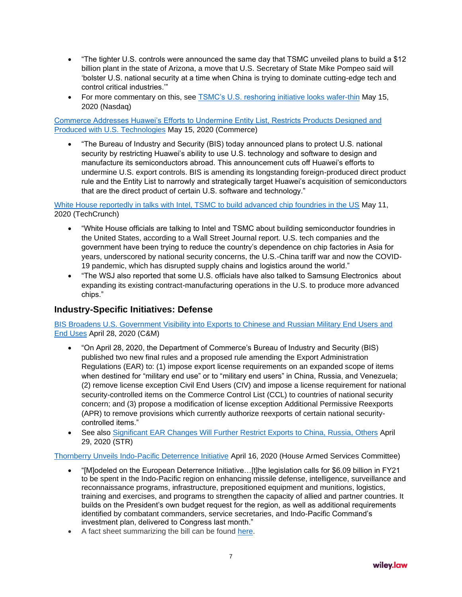- "The tighter U.S. controls were announced the same day that TSMC unveiled plans to build a \$12 billion plant in the state of Arizona, a move that U.S. Secretary of State Mike Pompeo said will 'bolster U.S. national security at a time when China is trying to dominate cutting-edge tech and control critical industries.'"
- For more commentary on this, see [TSMC's U.S. reshoring initiative looks wafer-thin](https://www.nasdaq.com/articles/breakingviews-tsmcs-u.s.-reshoring-initiative-looks-wafer-thin-2020-05-15) May 15, 2020 (Nasdaq)

[Commerce Addresses Huawei's Efforts to Undermine Entity List, Restricts Products Designed and](https://www.commerce.gov/news/press-releases/2020/05/commerce-addresses-huaweis-efforts-undermine-entity-list-restricts)  [Produced with U.S. Technologies](https://www.commerce.gov/news/press-releases/2020/05/commerce-addresses-huaweis-efforts-undermine-entity-list-restricts) May 15, 2020 (Commerce)

• "The Bureau of Industry and Security (BIS) today announced plans to protect U.S. national security by restricting Huawei's ability to use U.S. technology and software to design and manufacture its semiconductors abroad. This announcement cuts off Huawei's efforts to undermine U.S. export controls. BIS is amending its longstanding foreign-produced direct product rule and the Entity List to narrowly and strategically target Huawei's acquisition of semiconductors that are the direct product of certain U.S. software and technology."

[White House reportedly in talks with Intel, TSMC to build advanced chip foundries in the US](https://techcrunch.com/2020/05/10/white-house-reportedly-in-talks-with-intel-tsmc-to-build-advanced-chip-foundries-in-the-u-s/) May 11, 2020 (TechCrunch)

- "White House officials are talking to Intel and TSMC about building semiconductor foundries in the United States, according to a Wall Street Journal report. U.S. tech companies and the government have been trying to reduce the country's dependence on chip factories in Asia for years, underscored by national security concerns, the U.S.-China tariff war and now the COVID-19 pandemic, which has disrupted supply chains and logistics around the world."
- "The WSJ also reported that some U.S. officials have also talked to Samsung Electronics about expanding its existing contract-manufacturing operations in the U.S. to produce more advanced chips."

### **Industry-Specific Initiatives: Defense**

[BIS Broadens U.S. Government Visibility into Exports to Chinese and Russian Military End Users and](https://www.cmtradelaw.com/2020/04/bis-broadens-u-s-government-visibility-into-exports-to-chinese-and-russian-military-end-users-and-end-uses/)  [End Uses](https://www.cmtradelaw.com/2020/04/bis-broadens-u-s-government-visibility-into-exports-to-chinese-and-russian-military-end-users-and-end-uses/) April 28, 2020 (C&M)

- "On April 28, 2020, the Department of Commerce's Bureau of Industry and Security (BIS) published two new final rules and a proposed rule amending the Export Administration Regulations (EAR) to: (1) impose export license requirements on an expanded scope of items when destined for "military end use" or to "military end users" in China, Russia, and Venezuela; (2) remove license exception Civil End Users (CIV) and impose a license requirement for national security-controlled items on the Commerce Control List (CCL) to countries of national security concern; and (3) propose a modification of license exception Additional Permissive Reexports (APR) to remove provisions which currently authorize reexports of certain national securitycontrolled items."
- See also [Significant EAR Changes Will Further Restrict Exports to China, Russia, Others](https://www.strtrade.com/news-publications-export-electronic-telecom-China-Russia-CIV-APR-military-use-042920.html) April 29, 2020 (STR)

### [Thornberry Unveils Indo-Pacific Deterrence Initiative](https://republicans-armedservices.house.gov/news/press-releases/thornberry-unveils-indo-pacific-deterrence-initiative) April 16, 2020 (House Armed Services Committee)

- "[M]odeled on the European Deterrence Initiative…[t]he legislation calls for \$6.09 billion in FY21 to be spent in the Indo-Pacific region on enhancing missile defense, intelligence, surveillance and reconnaissance programs, infrastructure, prepositioned equipment and munitions, logistics, training and exercises, and programs to strengthen the capacity of allied and partner countries. It builds on the President's own budget request for the region, as well as additional requirements identified by combatant commanders, service secretaries, and Indo-Pacific Command's investment plan, delivered to Congress last month."
- A fact sheet summarizing the bill can be found [here.](https://republicans-armedservices.house.gov/sites/republicans.armedservices.house.gov/files/IPDI%20Fact%20Sheet%20.pdf)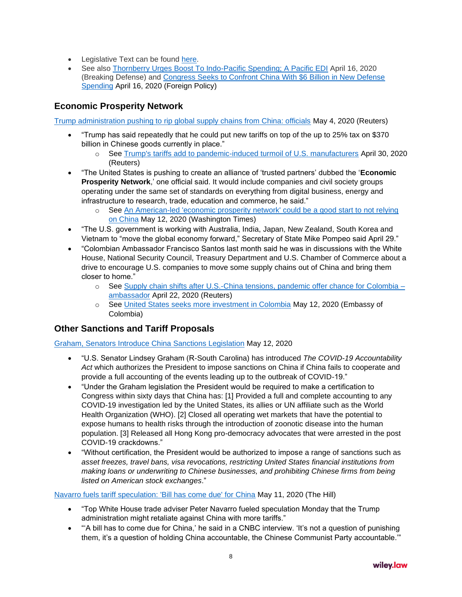- Legislative Text can be found [here.](https://republicans-armedservices.house.gov/sites/republicans.armedservices.house.gov/files/IPDI%20Legislation.pdf)
- See also [Thornberry Urges Boost To Indo-Pacific Spending; A Pacific EDI](https://breakingdefense.com/2020/04/thornberry-urges-boost-to-indo-pacific-spending-a-pacific-edi/) April 16, 2020 (Breaking Defense) and [Congress Seeks to Confront China With \\$6 Billion in New Defense](https://foreignpolicy.com/2020/04/16/congress-us-china-competition-6-billion-new-defense-spending/)  [Spending](https://foreignpolicy.com/2020/04/16/congress-us-china-competition-6-billion-new-defense-spending/) April 16, 2020 (Foreign Policy)

# **Economic Prosperity Network**

[Trump administration pushing to rip global supply chains from China: officials](https://www.reuters.com/article/us-health-coronavirus-usa-china/trump-administration-pushing-to-rip-global-supply-chains-from-china-officials-idUSKBN22G0BZ) May 4, 2020 (Reuters)

- "Trump has said repeatedly that he could put new tariffs on top of the up to 25% tax on \$370 billion in Chinese goods currently in place."
	- o See [Trump's tariffs add to pandemic-induced turmoil of U.S. manufacturers](https://www.reuters.com/article/us-health-coronavirus-tariffs/trumps-tariffs-add-to-pandemic-induced-turmoil-of-u-s-manufacturers-idUSKBN22C1MY) April 30, 2020 (Reuters)
- "The United States is pushing to create an alliance of 'trusted partners' dubbed the '**Economic Prosperity Network**,' one official said. It would include companies and civil society groups operating under the same set of standards on everything from digital business, energy and infrastructure to research, trade, education and commerce, he said."
	- o See [An American-led 'economic prosperity network' could be a good start to not relying](https://www.washingtontimes.com/news/2020/may/12/an-american-led-economic-prosperity-network-could-/)  [on China](https://www.washingtontimes.com/news/2020/may/12/an-american-led-economic-prosperity-network-could-/) May 12, 2020 (Washington Times)
- "The U.S. government is working with Australia, India, Japan, New Zealand, South Korea and Vietnam to "move the global economy forward," Secretary of State Mike Pompeo said April 29."
- "Colombian Ambassador Francisco Santos last month said he was in discussions with the White House, National Security Council, Treasury Department and U.S. Chamber of Commerce about a drive to encourage U.S. companies to move some supply chains out of China and bring them closer to home."
	- o See [Supply chain shifts after U.S.-China tensions, pandemic offer chance for Colombia –](https://www.reuters.com/article/health-coronavirus-colombia-trade/supply-chain-shifts-after-us-china-tensions-pandemic-offer-chance-for-colombia-ambassador-idUSL2N2CA2NX) [ambassador](https://www.reuters.com/article/health-coronavirus-colombia-trade/supply-chain-shifts-after-us-china-tensions-pandemic-offer-chance-for-colombia-ambassador-idUSL2N2CA2NX) April 22, 2020 (Reuters)
	- o See [United States seeks more investment in Colombia](https://www.colombiaemb.org/post/united-states-seeks-more-investment-in-colombia) May 12, 2020 (Embassy of Colombia)

## **Other Sanctions and Tariff Proposals**

[Graham, Senators Introduce China Sanctions Legislation](https://www.lgraham.senate.gov/public/index.cfm/press-releases?ID=8C4E8FAE-45A0-481D-8DAB-7E638FD190FC) May 12, 2020

- "U.S. Senator Lindsey Graham (R-South Carolina) has introduced *The COVID-19 Accountability Act* which authorizes the President to impose sanctions on China if China fails to cooperate and provide a full accounting of the events leading up to the outbreak of COVID-19."
- "Under the Graham legislation the President would be required to make a certification to Congress within sixty days that China has: [1] Provided a full and complete accounting to any COVID-19 investigation led by the United States, its allies or UN affiliate such as the World Health Organization (WHO). [2] Closed all operating wet markets that have the potential to expose humans to health risks through the introduction of zoonotic disease into the human population. [3] Released all Hong Kong pro-democracy advocates that were arrested in the post COVID-19 crackdowns."
- "Without certification, the President would be authorized to impose a range of sanctions such as *asset freezes, travel bans, visa revocations, restricting United States financial institutions from making loans or underwriting to Chinese businesses, and prohibiting Chinese firms from being listed on American stock exchanges*."

### [Navarro fuels tariff speculation: 'Bill has come due' for China](https://thehill.com/policy/finance/trade/497107-navarro-fuels-tariff-speculation-bill-has-come-due-for-china) May 11, 2020 (The Hill)

- "Top White House trade adviser Peter Navarro fueled speculation Monday that the Trump administration might retaliate against China with more tariffs."
- "'A bill has to come due for China,' he said in a CNBC interview. 'It's not a question of punishing them, it's a question of holding China accountable, the Chinese Communist Party accountable.'"